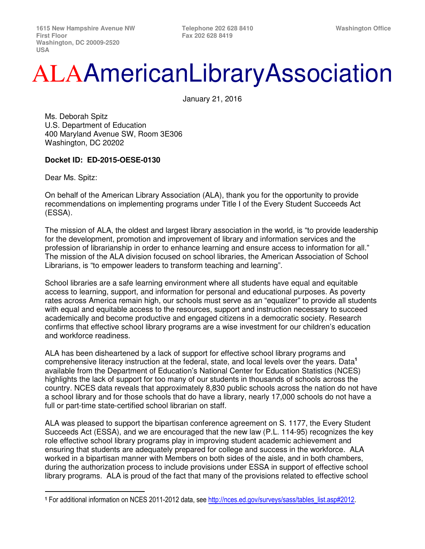## ALAAmericanLibraryAssociation

January 21, 2016

Ms. Deborah Spitz U.S. Department of Education 400 Maryland Avenue SW, Room 3E306 Washington, DC 20202

## **Docket ID: ED-2015-OESE-0130**

Dear Ms. Spitz:

l

On behalf of the American Library Association (ALA), thank you for the opportunity to provide recommendations on implementing programs under Title I of the Every Student Succeeds Act (ESSA).

The mission of ALA, the oldest and largest library association in the world, is "to provide leadership for the development, promotion and improvement of library and information services and the profession of librarianship in order to enhance learning and ensure access to information for all." The mission of the ALA division focused on school libraries, the American Association of School Librarians, is "to empower leaders to transform teaching and learning".

School libraries are a safe learning environment where all students have equal and equitable access to learning, support, and information for personal and educational purposes. As poverty rates across America remain high, our schools must serve as an "equalizer" to provide all students with equal and equitable access to the resources, support and instruction necessary to succeed academically and become productive and engaged citizens in a democratic society. Research confirms that effective school library programs are a wise investment for our children's education and workforce readiness.

ALA has been disheartened by a lack of support for effective school library programs and comprehensive literacy instruction at the federal, state, and local levels over the years. Data**<sup>1</sup>** available from the Department of Education's National Center for Education Statistics (NCES) highlights the lack of support for too many of our students in thousands of schools across the country. NCES data reveals that approximately 8,830 public schools across the nation do not have a school library and for those schools that do have a library, nearly 17,000 schools do not have a full or part-time state-certified school librarian on staff.

ALA was pleased to support the bipartisan conference agreement on S. 1177, the Every Student Succeeds Act (ESSA), and we are encouraged that the new law (P.L. 114-95) recognizes the key role effective school library programs play in improving student academic achievement and ensuring that students are adequately prepared for college and success in the workforce. ALA worked in a bipartisan manner with Members on both sides of the aisle, and in both chambers, during the authorization process to include provisions under ESSA in support of effective school library programs. ALA is proud of the fact that many of the provisions related to effective school

<sup>1</sup> For additional information on NCES 2011-2012 data, see http://nces.ed.gov/surveys/sass/tables\_list.asp#2012.